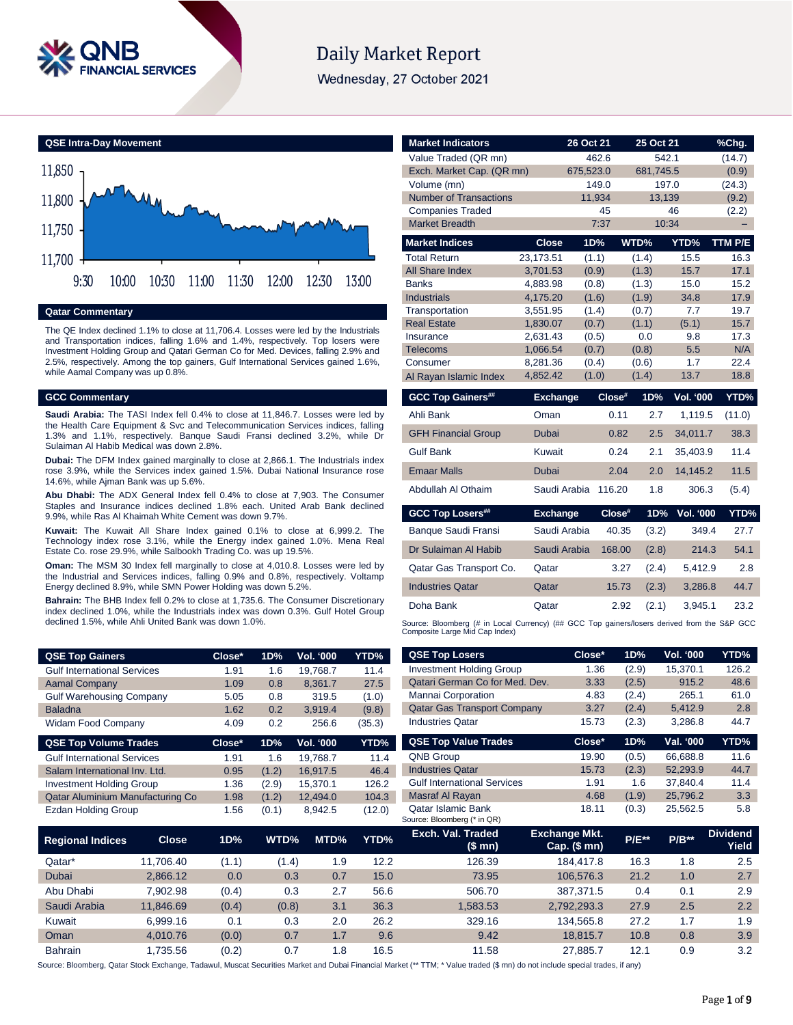

# **Daily Market Report**

Wednesday, 27 October 2021



# **Qatar Commentary**

The QE Index declined 1.1% to close at 11,706.4. Losses were led by the Industrials and Transportation indices, falling 1.6% and 1.4%, respectively. Top losers were Investment Holding Group and Qatari German Co for Med. Devices, falling 2.9% and 2.5%, respectively. Among the top gainers, Gulf International Services gained 1.6%, while Aamal Company was up 0.8%.

# **GCC Commentary**

**Saudi Arabia:** The TASI Index fell 0.4% to close at 11,846.7. Losses were led by the Health Care Equipment & Svc and Telecommunication Services indices, falling 1.3% and 1.1%, respectively. Banque Saudi Fransi declined 3.2%, while Dr Sulaiman Al Habib Medical was down 2.8%.

**Dubai:** The DFM Index gained marginally to close at 2,866.1. The Industrials index rose 3.9%, while the Services index gained 1.5%. Dubai National Insurance rose 14.6%, while Ajman Bank was up 5.6%.

**Abu Dhabi:** The ADX General Index fell 0.4% to close at 7,903. The Consumer Staples and Insurance indices declined 1.8% each. United Arab Bank declined 9.9%, while Ras Al Khaimah White Cement was down 9.7%.

**Kuwait:** The Kuwait All Share Index gained 0.1% to close at 6,999.2. The Technology index rose 3.1%, while the Energy index gained 1.0%. Mena Real Estate Co. rose 29.9%, while Salbookh Trading Co. was up 19.5%.

**Oman:** The MSM 30 Index fell marginally to close at 4,010.8. Losses were led by the Industrial and Services indices, falling 0.9% and 0.8%, respectively. Voltamp Energy declined 8.9%, while SMN Power Holding was down 5.2%.

**Bahrain:** The BHB Index fell 0.2% to close at 1,735.6. The Consumer Discretionary index declined 1.0%, while the Industrials index was down 0.3%. Gulf Hotel Group declined 1.5%, while Ahli United Bank was down 1.0%.

| <b>QSE Top Gainers</b>                  | Close*   | 1D%   | Vol. '000 | YTD%   |
|-----------------------------------------|----------|-------|-----------|--------|
| <b>Gulf International Services</b>      | 1.91     | 1.6   | 19.768.7  | 11.4   |
| <b>Aamal Company</b>                    | 1.09     | 0.8   | 8.361.7   | 27.5   |
| <b>Gulf Warehousing Company</b>         | 5.05     | 0.8   | 319.5     | (1.0)  |
| <b>Baladna</b>                          | 1.62     | 0.2   | 3,919.4   | (9.8)  |
| <b>Widam Food Company</b>               | 4.09     | 0.2   | 256.6     | (35.3) |
|                                         |          |       |           |        |
| <b>QSE Top Volume Trades</b>            | $Close*$ | 1D%   | Vol. '000 | YTD%   |
| <b>Gulf International Services</b>      | 1.91     | 1.6   | 19.768.7  | 11.4   |
| Salam International Inv. Ltd.           | 0.95     | (1.2) | 16.917.5  | 46.4   |
| <b>Investment Holding Group</b>         | 1.36     | (2.9) | 15.370.1  | 126.2  |
| <b>Qatar Aluminium Manufacturing Co</b> | 1.98     | (1.2) | 12,494.0  | 104.3  |

| <b>Market Indicators</b>                                                                    |                 | 26 Oct 21          |           | 25 Oct 21          |                  |                 |
|---------------------------------------------------------------------------------------------|-----------------|--------------------|-----------|--------------------|------------------|-----------------|
|                                                                                             |                 |                    |           |                    |                  | %Chg.           |
| Value Traded (QR mn)<br>Exch. Market Cap. (QR mn)                                           |                 | 462.6<br>675,523.0 |           | 542.1<br>681,745.5 |                  | (14.7)          |
| Volume (mn)                                                                                 |                 | 149.0              |           | 197.0              |                  | (0.9)<br>(24.3) |
| <b>Number of Transactions</b>                                                               |                 | 11,934             |           | 13,139             |                  | (9.2)           |
| <b>Companies Traded</b>                                                                     |                 | 45                 |           |                    | 46               | (2.2)           |
| <b>Market Breadth</b>                                                                       |                 | 7:37               |           | 10:34              |                  |                 |
| <b>Market Indices</b>                                                                       | <b>Close</b>    | 1D%                |           | WTD%               | YTD%             | TTM P/E         |
| <b>Total Return</b>                                                                         | 23,173.51       | (1.1)              |           | (1.4)              | 15.5             | 16.3            |
| All Share Index                                                                             | 3,701.53        | (0.9)              |           | (1.3)              | 15.7             | 17.1            |
| <b>Banks</b>                                                                                | 4,883.98        | (0.8)              |           | (1.3)              | 15.0             | 15.2            |
| <b>Industrials</b>                                                                          | 4,175.20        | (1.6)              |           | (1.9)              | 34.8             | 17.9            |
| Transportation                                                                              | 3,551.95        | (1.4)              |           | (0.7)              | 7.7              | 19.7            |
| <b>Real Estate</b>                                                                          | 1,830.07        | (0.7)              |           | (1.1)              | (5.1)            | 15.7            |
| Insurance                                                                                   | 2,631.43        | (0.5)              |           | 0.0                | 9.8              | 17.3            |
| <b>Telecoms</b>                                                                             | 1,066.54        | (0.7)              |           | (0.8)              | 5.5              | N/A             |
| Consumer                                                                                    | 8,281.36        | (0.4)              |           | (0.6)              | 1.7              | 22.4            |
| Al Rayan Islamic Index                                                                      | 4,852.42        | (1.0)              |           | (1.4)              | 13.7             | 18.8            |
| <b>GCC Top Gainers##</b>                                                                    | <b>Exchange</b> |                    | $Close^*$ | 1D%                | <b>Vol. '000</b> | YTD%            |
| Ahli Bank                                                                                   | Oman            |                    | 0.11      | 2.7                | 1,119.5          | (11.0)          |
| <b>GFH Financial Group</b>                                                                  | Dubai           |                    | 0.82      | 2.5                | 34,011.7         | 38.3            |
| <b>Gulf Bank</b>                                                                            | Kuwait          |                    | 0.24      | 2.1                | 35,403.9         | 11.4            |
| <b>Emaar Malls</b>                                                                          | <b>Dubai</b>    |                    | 2.04      | 2.0                | 14,145.2         | 11.5            |
| Abdullah Al Othaim                                                                          | Saudi Arabia    |                    | 116.20    | 1.8                | 306.3            | (5.4)           |
| <b>GCC Top Losers##</b>                                                                     | <b>Exchange</b> |                    | Close#    | 1D%                | <b>Vol. '000</b> | YTD%            |
| Banque Saudi Fransi                                                                         | Saudi Arabia    |                    | 40.35     | (3.2)              | 349.4            | 27.7            |
| Dr Sulaiman Al Habib                                                                        | Saudi Arabia    |                    | 168.00    | (2.8)              | 214.3            | 54.1            |
| Qatar Gas Transport Co.                                                                     | Qatar           |                    | 3.27      | (2.4)              | 5,412.9          | 2.8             |
| <b>Industries Qatar</b>                                                                     | Qatar           |                    | 15.73     | (2.3)              | 3,286.8          | 44.7            |
| Doha Bank                                                                                   | Qatar           |                    | 2.92      | (2.1)              | 3,945.1          | 23.2            |
| Source: Bloomberg (# in Local Currency) (## GCC Top gainers/losers derived from the S&P GCC |                 |                    |           |                    |                  |                 |
| Composite Large Mid Cap Index)                                                              |                 |                    |           |                    |                  |                 |
| <b>QSE Top Losers</b>                                                                       |                 | Close*             | 1D%       |                    | Vol. '000        | YTD%            |
| <b>Investment Holding Group</b>                                                             |                 | 1.36               | (2.9)     |                    | 15.370.1         | 126.2           |
| Octor Corneon Cofor Mod Dou                                                                 |                 | 0.00               | (0, E)    |                    | 04E, 2           | 40 <sub>0</sub> |

| <b>QSE Top Gainers</b>             |              | Close* | 1D%   | Vol. '000        | YTD%   | <b>QSE Top Losers</b>                                    | Close*                               | 1D%     | Vol. '000 | YTD%                     |
|------------------------------------|--------------|--------|-------|------------------|--------|----------------------------------------------------------|--------------------------------------|---------|-----------|--------------------------|
| <b>Gulf International Services</b> |              | 1.91   | 1.6   | 19,768.7<br>11.4 |        | <b>Investment Holding Group</b>                          | 1.36                                 | (2.9)   | 15.370.1  | 126.2                    |
| <b>Aamal Company</b>               |              | 1.09   | 0.8   | 8,361.7          | 27.5   | Qatari German Co for Med. Dev.                           | 3.33                                 | (2.5)   | 915.2     | 48.6                     |
| <b>Gulf Warehousing Company</b>    |              | 5.05   | 0.8   | 319.5            | (1.0)  | Mannai Corporation                                       | 4.83                                 | (2.4)   | 265.1     | 61.0                     |
| <b>Baladna</b>                     |              | 1.62   | 0.2   | 3,919.4          | (9.8)  | <b>Qatar Gas Transport Company</b>                       | 3.27                                 | (2.4)   | 5,412.9   | 2.8                      |
| Widam Food Company                 |              | 4.09   | 0.2   | 256.6            | (35.3) | <b>Industries Qatar</b>                                  | 15.73                                | (2.3)   | 3,286.8   | 44.7                     |
| <b>QSE Top Volume Trades</b>       |              | Close* | 1D%   | Vol. '000        | YTD%   | <b>QSE Top Value Trades</b>                              | Close*                               | 1D%     | Val. '000 | YTD%                     |
| <b>Gulf International Services</b> |              | 1.91   | 1.6   | 19,768.7         | 11.4   | <b>QNB Group</b>                                         | 19.90                                | (0.5)   | 66,688.8  | 11.6                     |
| Salam International Inv. Ltd.      |              | 0.95   | (1.2) | 16,917.5         | 46.4   | <b>Industries Qatar</b>                                  | 15.73                                | (2.3)   | 52,293.9  | 44.7                     |
| <b>Investment Holding Group</b>    |              | 1.36   | (2.9) | 15,370.1         | 126.2  | <b>Gulf International Services</b>                       | 1.91                                 | 1.6     | 37,840.4  | 11.4                     |
| Qatar Aluminium Manufacturing Co   |              | 1.98   | (1.2) | 12,494.0         | 104.3  | Masraf Al Rayan                                          | 4.68                                 | (1.9)   | 25,796.2  | 3.3                      |
| Ezdan Holding Group                |              | 1.56   | (0.1) | 8,942.5          | (12.0) | <b>Qatar Islamic Bank</b><br>Source: Bloomberg (* in QR) | 18.11                                | (0.3)   | 25,562.5  | 5.8                      |
| <b>Regional Indices</b>            | <b>Close</b> | 1D%    | WTD%  | MTD%             | YTD%   | Exch. Val. Traded<br>(\$ mn)                             | <b>Exchange Mkt.</b><br>Cap. $($mn)$ | $P/E**$ | $P/B**$   | <b>Dividend</b><br>Yield |
| Qatar*                             | 11,706.40    | (1.1)  | (1.4) | 1.9              | 12.2   | 126.39                                                   | 184,417.8                            | 16.3    | 1.8       | 2.5                      |
| Dubai                              | 2,866.12     | 0.0    | 0.3   | 0.7              | 15.0   | 73.95                                                    | 106,576.3                            | 21.2    | 1.0       | 2.7                      |
| Abu Dhabi                          | 7.902.98     | (0.4)  | 0.3   | 2.7              | 56.6   | 506.70                                                   | 387,371.5                            | 0.4     | 0.1       | 2.9                      |
| Saudi Arabia                       | 11,846.69    | (0.4)  | (0.8) | 3.1              | 36.3   | 1,583.53                                                 | 2,792,293.3                          | 27.9    | 2.5       | 2.2                      |

Source: Bloomberg, Qatar Stock Exchange, Tadawul, Muscat Securities Market and Dubai Financial Market (\*\* TTM; \* Value traded (\$ mn) do not include special trades, if any)

Kuwait 6,999.16 0.1 0.3 2.0 26.2 329.16 134,565.8 27.2 1.7 1.9 Oman 4,010.76 (0.0) 0.7 1.7 9.6 9.42 18,815.7 10.8 0.8 3.9 Bahrain 1,735.56 (0.2) 0.7 1.8 16.5 11.58 27,885.7 12.1 0.9 3.2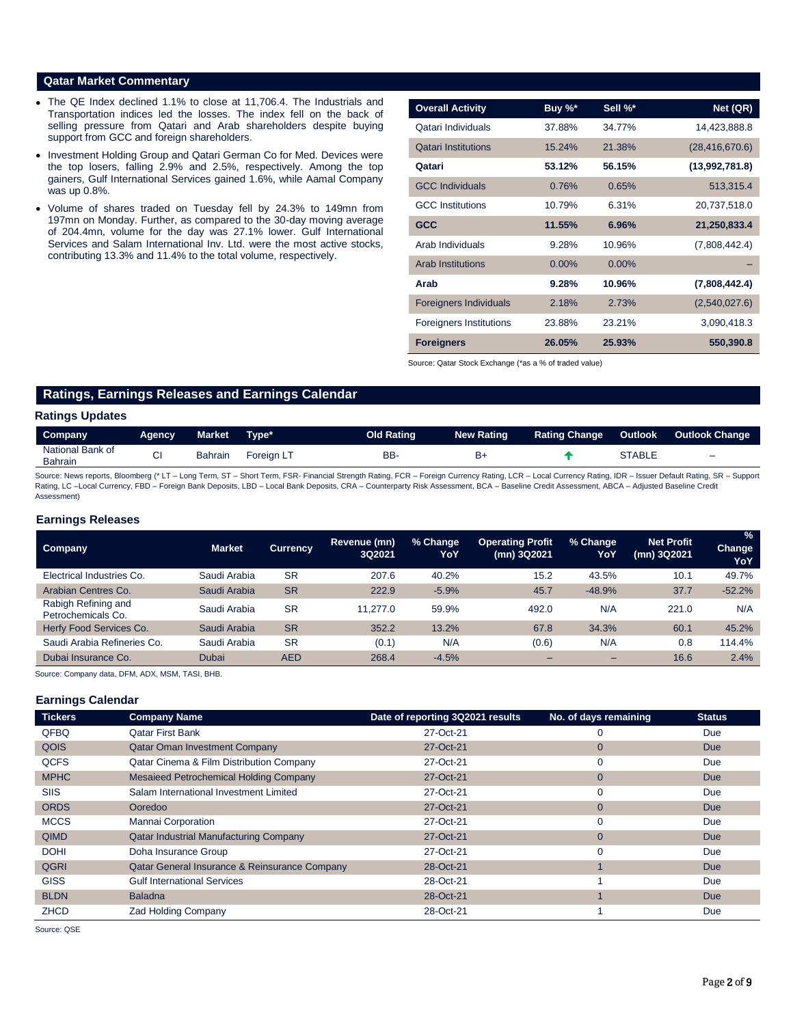# **Qatar Market Commentary**

- The QE Index declined 1.1% to close at 11,706.4. The Industrials and Transportation indices led the losses. The index fell on the back of selling pressure from Qatari and Arab shareholders despite buying support from GCC and foreign shareholders.
- Investment Holding Group and Qatari German Co for Med. Devices were the top losers, falling 2.9% and 2.5%, respectively. Among the top gainers, Gulf International Services gained 1.6%, while Aamal Company was up 0.8%.
- Volume of shares traded on Tuesday fell by 24.3% to 149mn from 197mn on Monday. Further, as compared to the 30-day moving average of 204.4mn, volume for the day was 27.1% lower. Gulf International Services and Salam International Inv. Ltd. were the most active stocks, contributing 13.3% and 11.4% to the total volume, respectively.

| <b>Overall Activity</b>        | Buy $\%^*$ | Sell %*  | Net (QR)         |
|--------------------------------|------------|----------|------------------|
| Qatari Individuals             | 37.88%     | 34.77%   | 14,423,888.8     |
| <b>Qatari Institutions</b>     | 15.24%     | 21.38%   | (28, 416, 670.6) |
| Qatari                         | 53.12%     | 56.15%   | (13,992,781.8)   |
| <b>GCC Individuals</b>         | 0.76%      | 0.65%    | 513,315.4        |
| <b>GCC</b> Institutions        | 10.79%     | 6.31%    | 20,737,518.0     |
| <b>GCC</b>                     | 11.55%     | 6.96%    | 21,250,833.4     |
| Arab Individuals               | 9.28%      | 10.96%   | (7,808,442.4)    |
| <b>Arab Institutions</b>       | $0.00\%$   | $0.00\%$ |                  |
| Arab                           | 9.28%      | 10.96%   | (7,808,442.4)    |
| <b>Foreigners Individuals</b>  | 2.18%      | 2.73%    | (2,540,027.6)    |
| <b>Foreigners Institutions</b> | 23.88%     | 23.21%   | 3,090,418.3      |
| <b>Foreigners</b>              | 26.05%     | 25.93%   | 550,390.8        |

Source: Qatar Stock Exchange (\*as a % of traded value)

# **Ratings, Earnings Releases and Earnings Calendar**

# **Ratings Updates**

| Company                            | Agency | Market  | Type*      | <b>Old Rating</b> | <b>New Rating</b> | <b>Rating Change</b> | <b>Outlook</b> | <b>Outlook Change</b>    |
|------------------------------------|--------|---------|------------|-------------------|-------------------|----------------------|----------------|--------------------------|
| National Bank of<br><b>Bahrain</b> | $\sim$ | Bahrain | Foreian LT | <b>BB</b>         | в+                |                      | STABLE         | $\overline{\phantom{0}}$ |

Source: News reports, Bloomberg (\* LT – Long Term, ST – Short Term, FSR- Financial Strength Rating, FCR – Foreign Currency Rating, LCR – Local Currency Rating, IDR – Issuer Default Rating, SR – Support Rating, LC -Local Currency, FBD - Foreign Bank Deposits, LBD - Local Bank Deposits, CRA - Counterparty Risk Assessment, BCA - Baseline Credit Assessment, ABCA - Adjusted Baseline Credit Assessment)

# **Earnings Releases**

| Company                                   | <b>Market</b> | <b>Currency</b> | Revenue (mn)<br>3Q2021 | % Change<br>YoY | <b>Operating Profit</b><br>(mn) 3Q2021 | % Change<br>YoY | <b>Net Profit</b><br>(mn) 3Q2021 | $\frac{9}{6}$<br>Change<br>YoY |
|-------------------------------------------|---------------|-----------------|------------------------|-----------------|----------------------------------------|-----------------|----------------------------------|--------------------------------|
| Electrical Industries Co.                 | Saudi Arabia  | <b>SR</b>       | 207.6                  | 40.2%           | 15.2                                   | 43.5%           | 10.1                             | 49.7%                          |
| Arabian Centres Co.                       | Saudi Arabia  | <b>SR</b>       | 222.9                  | $-5.9%$         | 45.7                                   | $-48.9%$        | 37.7                             | $-52.2%$                       |
| Rabigh Refining and<br>Petrochemicals Co. | Saudi Arabia  | <b>SR</b>       | 11.277.0               | 59.9%           | 492.0                                  | N/A             | 221.0                            | N/A                            |
| Herfy Food Services Co.                   | Saudi Arabia  | <b>SR</b>       | 352.2                  | 13.2%           | 67.8                                   | 34.3%           | 60.1                             | 45.2%                          |
| Saudi Arabia Refineries Co.               | Saudi Arabia  | <b>SR</b>       | (0.1)                  | N/A             | (0.6)                                  | N/A             | 0.8                              | 114.4%                         |
| Dubai Insurance Co.                       | Dubai         | <b>AED</b>      | 268.4                  | $-4.5%$         | -                                      | -               | 16.6                             | 2.4%                           |

Source: Company data, DFM, ADX, MSM, TASI, BHB.

# **Earnings Calendar**

| <b>Tickers</b> | <b>Company Name</b>                                 | Date of reporting 3Q2021 results | No. of days remaining | <b>Status</b> |
|----------------|-----------------------------------------------------|----------------------------------|-----------------------|---------------|
| QFBQ           | <b>Oatar First Bank</b>                             | 27-Oct-21                        | $\Omega$              | Due           |
| QOIS           | <b>Qatar Oman Investment Company</b>                | 27-Oct-21                        | $\overline{0}$        | <b>Due</b>    |
| <b>QCFS</b>    | <b>Qatar Cinema &amp; Film Distribution Company</b> | 27-Oct-21                        | $\mathbf 0$           | Due           |
| <b>MPHC</b>    | <b>Mesaieed Petrochemical Holding Company</b>       | 27-Oct-21                        | $\mathbf{0}$          | <b>Due</b>    |
| <b>SIIS</b>    | Salam International Investment Limited              | 27-Oct-21                        | $\mathbf 0$           | Due           |
| <b>ORDS</b>    | Ooredoo                                             | 27-Oct-21                        | $\overline{0}$        | <b>Due</b>    |
| <b>MCCS</b>    | <b>Mannai Corporation</b>                           | 27-Oct-21                        | 0                     | Due           |
| <b>QIMD</b>    | <b>Qatar Industrial Manufacturing Company</b>       | 27-Oct-21                        | $\overline{0}$        | <b>Due</b>    |
| <b>DOHI</b>    | Doha Insurance Group                                | 27-Oct-21                        | $\Omega$              | Due           |
| <b>QGRI</b>    | Qatar General Insurance & Reinsurance Company       | 28-Oct-21                        |                       | <b>Due</b>    |
| <b>GISS</b>    | <b>Gulf International Services</b>                  | 28-Oct-21                        |                       | Due           |
| <b>BLDN</b>    | <b>Baladna</b>                                      | 28-Oct-21                        |                       | <b>Due</b>    |
| <b>ZHCD</b>    | <b>Zad Holding Company</b>                          | 28-Oct-21                        |                       | Due           |

Source: QSE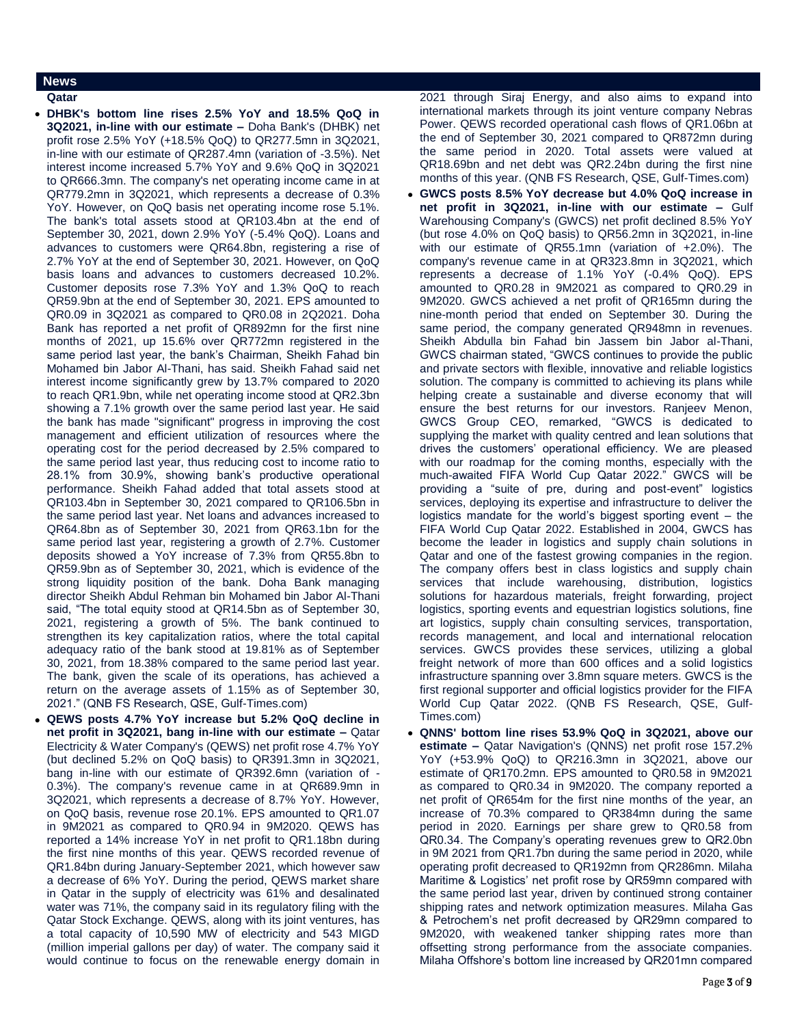# **News**

**Qatar** 

 **DHBK's bottom line rises 2.5% YoY and 18.5% QoQ in 3Q2021, in-line with our estimate –** Doha Bank's (DHBK) net profit rose 2.5% YoY (+18.5% QoQ) to QR277.5mn in 3Q2021, in-line with our estimate of QR287.4mn (variation of -3.5%). Net interest income increased 5.7% YoY and 9.6% QoQ in 3Q2021 to QR666.3mn. The company's net operating income came in at QR779.2mn in 3Q2021, which represents a decrease of 0.3% YoY. However, on QoQ basis net operating income rose 5.1%. The bank's total assets stood at QR103.4bn at the end of September 30, 2021, down 2.9% YoY (-5.4% QoQ). Loans and advances to customers were QR64.8bn, registering a rise of 2.7% YoY at the end of September 30, 2021. However, on QoQ basis loans and advances to customers decreased 10.2%. Customer deposits rose 7.3% YoY and 1.3% QoQ to reach QR59.9bn at the end of September 30, 2021. EPS amounted to QR0.09 in 3Q2021 as compared to QR0.08 in 2Q2021. Doha Bank has reported a net profit of QR892mn for the first nine months of 2021, up 15.6% over QR772mn registered in the same period last year, the bank's Chairman, Sheikh Fahad bin Mohamed bin Jabor Al-Thani, has said. Sheikh Fahad said net interest income significantly grew by 13.7% compared to 2020 to reach QR1.9bn, while net operating income stood at QR2.3bn showing a 7.1% growth over the same period last year. He said the bank has made "significant" progress in improving the cost management and efficient utilization of resources where the operating cost for the period decreased by 2.5% compared to the same period last year, thus reducing cost to income ratio to 28.1% from 30.9%, showing bank's productive operational performance. Sheikh Fahad added that total assets stood at QR103.4bn in September 30, 2021 compared to QR106.5bn in the same period last year. Net loans and advances increased to QR64.8bn as of September 30, 2021 from QR63.1bn for the same period last year, registering a growth of 2.7%. Customer deposits showed a YoY increase of 7.3% from QR55.8bn to QR59.9bn as of September 30, 2021, which is evidence of the strong liquidity position of the bank. Doha Bank managing director Sheikh Abdul Rehman bin Mohamed bin Jabor Al-Thani said, "The total equity stood at QR14.5bn as of September 30, 2021, registering a growth of 5%. The bank continued to strengthen its key capitalization ratios, where the total capital adequacy ratio of the bank stood at 19.81% as of September 30, 2021, from 18.38% compared to the same period last year. The bank, given the scale of its operations, has achieved a return on the average assets of 1.15% as of September 30, 2021." (QNB FS Research, QSE, Gulf-Times.com)

 **QEWS posts 4.7% YoY increase but 5.2% QoQ decline in net profit in 3Q2021, bang in-line with our estimate –** Qatar Electricity & Water Company's (QEWS) net profit rose 4.7% YoY (but declined 5.2% on QoQ basis) to QR391.3mn in 3Q2021, bang in-line with our estimate of QR392.6mn (variation of - 0.3%). The company's revenue came in at QR689.9mn in 3Q2021, which represents a decrease of 8.7% YoY. However, on QoQ basis, revenue rose 20.1%. EPS amounted to QR1.07 in 9M2021 as compared to QR0.94 in 9M2020. QEWS has reported a 14% increase YoY in net profit to QR1.18bn during the first nine months of this year. QEWS recorded revenue of QR1.84bn during January-September 2021, which however saw a decrease of 6% YoY. During the period, QEWS market share in Qatar in the supply of electricity was 61% and desalinated water was 71%, the company said in its regulatory filing with the Qatar Stock Exchange. QEWS, along with its joint ventures, has a total capacity of 10,590 MW of electricity and 543 MIGD (million imperial gallons per day) of water. The company said it would continue to focus on the renewable energy domain in

2021 through Siraj Energy, and also aims to expand into international markets through its joint venture company Nebras Power. QEWS recorded operational cash flows of QR1.06bn at the end of September 30, 2021 compared to QR872mn during the same period in 2020. Total assets were valued at QR18.69bn and net debt was QR2.24bn during the first nine months of this year. (QNB FS Research, QSE, Gulf-Times.com)

- **GWCS posts 8.5% YoY decrease but 4.0% QoQ increase in net profit in 3Q2021, in-line with our estimate –** Gulf Warehousing Company's (GWCS) net profit declined 8.5% YoY (but rose 4.0% on QoQ basis) to QR56.2mn in 3Q2021, in-line with our estimate of QR55.1mn (variation of +2.0%). The company's revenue came in at QR323.8mn in 3Q2021, which represents a decrease of 1.1% YoY (-0.4% QoQ). EPS amounted to QR0.28 in 9M2021 as compared to QR0.29 in 9M2020. GWCS achieved a net profit of QR165mn during the nine-month period that ended on September 30. During the same period, the company generated QR948mn in revenues. Sheikh Abdulla bin Fahad bin Jassem bin Jabor al-Thani, GWCS chairman stated, "GWCS continues to provide the public and private sectors with flexible, innovative and reliable logistics solution. The company is committed to achieving its plans while helping create a sustainable and diverse economy that will ensure the best returns for our investors. Ranjeev Menon, GWCS Group CEO, remarked, "GWCS is dedicated to supplying the market with quality centred and lean solutions that drives the customers' operational efficiency. We are pleased with our roadmap for the coming months, especially with the much-awaited FIFA World Cup Qatar 2022." GWCS will be providing a "suite of pre, during and post-event" logistics services, deploying its expertise and infrastructure to deliver the logistics mandate for the world's biggest sporting event – the FIFA World Cup Qatar 2022. Established in 2004, GWCS has become the leader in logistics and supply chain solutions in Qatar and one of the fastest growing companies in the region. The company offers best in class logistics and supply chain services that include warehousing, distribution, logistics solutions for hazardous materials, freight forwarding, project logistics, sporting events and equestrian logistics solutions, fine art logistics, supply chain consulting services, transportation, records management, and local and international relocation services. GWCS provides these services, utilizing a global freight network of more than 600 offices and a solid logistics infrastructure spanning over 3.8mn square meters. GWCS is the first regional supporter and official logistics provider for the FIFA World Cup Qatar 2022. (QNB FS Research, QSE, Gulf-Times.com)
- **QNNS' bottom line rises 53.9% QoQ in 3Q2021, above our estimate –** Qatar Navigation's (QNNS) net profit rose 157.2% YoY (+53.9% QoQ) to QR216.3mn in 3Q2021, above our estimate of QR170.2mn. EPS amounted to QR0.58 in 9M2021 as compared to QR0.34 in 9M2020. The company reported a net profit of QR654m for the first nine months of the year, an increase of 70.3% compared to QR384mn during the same period in 2020. Earnings per share grew to QR0.58 from QR0.34. The Company's operating revenues grew to QR2.0bn in 9M 2021 from QR1.7bn during the same period in 2020, while operating profit decreased to QR192mn from QR286mn. Milaha Maritime & Logistics' net profit rose by QR59mn compared with the same period last year, driven by continued strong container shipping rates and network optimization measures. Milaha Gas & Petrochem's net profit decreased by QR29mn compared to 9M2020, with weakened tanker shipping rates more than offsetting strong performance from the associate companies. Milaha Offshore's bottom line increased by QR201mn compared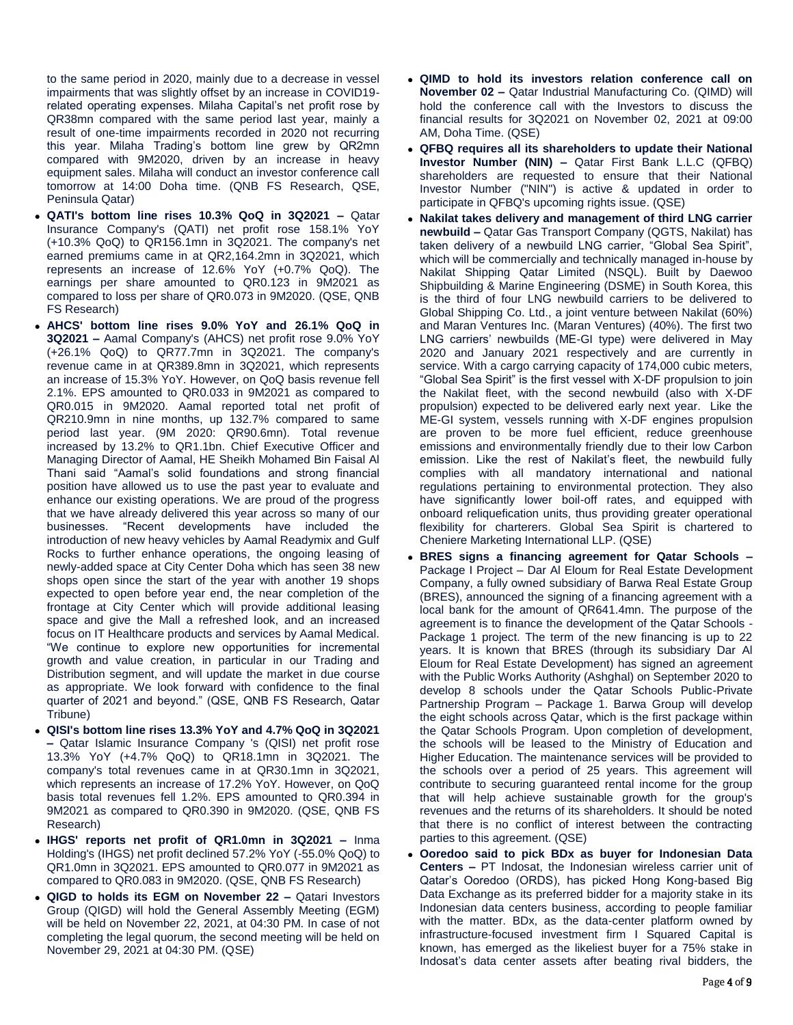to the same period in 2020, mainly due to a decrease in vessel impairments that was slightly offset by an increase in COVID19 related operating expenses. Milaha Capital's net profit rose by QR38mn compared with the same period last year, mainly a result of one-time impairments recorded in 2020 not recurring this year. Milaha Trading's bottom line grew by QR2mn compared with 9M2020, driven by an increase in heavy equipment sales. Milaha will conduct an investor conference call tomorrow at 14:00 Doha time. (QNB FS Research, QSE, Peninsula Qatar)

- **QATI's bottom line rises 10.3% QoQ in 3Q2021 –** Qatar Insurance Company's (QATI) net profit rose 158.1% YoY (+10.3% QoQ) to QR156.1mn in 3Q2021. The company's net earned premiums came in at QR2,164.2mn in 3Q2021, which represents an increase of 12.6% YoY (+0.7% QoQ). The earnings per share amounted to QR0.123 in 9M2021 as compared to loss per share of QR0.073 in 9M2020. (QSE, QNB FS Research)
- **AHCS' bottom line rises 9.0% YoY and 26.1% QoQ in 3Q2021 –** Aamal Company's (AHCS) net profit rose 9.0% YoY (+26.1% QoQ) to QR77.7mn in 3Q2021. The company's revenue came in at QR389.8mn in 3Q2021, which represents an increase of 15.3% YoY. However, on QoQ basis revenue fell 2.1%. EPS amounted to QR0.033 in 9M2021 as compared to QR0.015 in 9M2020. Aamal reported total net profit of QR210.9mn in nine months, up 132.7% compared to same period last year. (9M 2020: QR90.6mn). Total revenue increased by 13.2% to QR1.1bn. Chief Executive Officer and Managing Director of Aamal, HE Sheikh Mohamed Bin Faisal Al Thani said "Aamal's solid foundations and strong financial position have allowed us to use the past year to evaluate and enhance our existing operations. We are proud of the progress that we have already delivered this year across so many of our businesses. "Recent developments have included the introduction of new heavy vehicles by Aamal Readymix and Gulf Rocks to further enhance operations, the ongoing leasing of newly-added space at City Center Doha which has seen 38 new shops open since the start of the year with another 19 shops expected to open before year end, the near completion of the frontage at City Center which will provide additional leasing space and give the Mall a refreshed look, and an increased focus on IT Healthcare products and services by Aamal Medical. "We continue to explore new opportunities for incremental growth and value creation, in particular in our Trading and Distribution segment, and will update the market in due course as appropriate. We look forward with confidence to the final quarter of 2021 and beyond." (QSE, QNB FS Research, Qatar Tribune)
- **QISI's bottom line rises 13.3% YoY and 4.7% QoQ in 3Q2021 –** Qatar Islamic Insurance Company 's (QISI) net profit rose 13.3% YoY (+4.7% QoQ) to QR18.1mn in 3Q2021. The company's total revenues came in at QR30.1mn in 3Q2021, which represents an increase of 17.2% YoY. However, on QoQ basis total revenues fell 1.2%. EPS amounted to QR0.394 in 9M2021 as compared to QR0.390 in 9M2020. (QSE, QNB FS Research)
- **IHGS' reports net profit of QR1.0mn in 3Q2021 –** Inma Holding's (IHGS) net profit declined 57.2% YoY (-55.0% QoQ) to QR1.0mn in 3Q2021. EPS amounted to QR0.077 in 9M2021 as compared to QR0.083 in 9M2020. (QSE, QNB FS Research)
- **QIGD to holds its EGM on November 22 –** Qatari Investors Group (QIGD) will hold the General Assembly Meeting (EGM) will be held on November 22, 2021, at 04:30 PM. In case of not completing the legal quorum, the second meeting will be held on November 29, 2021 at 04:30 PM. (QSE)
- **QIMD to hold its investors relation conference call on November 02 –** Qatar Industrial Manufacturing Co. (QIMD) will hold the conference call with the Investors to discuss the financial results for 3Q2021 on November 02, 2021 at 09:00 AM, Doha Time. (QSE)
- **QFBQ requires all its shareholders to update their National Investor Number (NIN) –** Qatar First Bank L.L.C (QFBQ) shareholders are requested to ensure that their National Investor Number ("NIN") is active & updated in order to participate in QFBQ's upcoming rights issue. (QSE)
- **Nakilat takes delivery and management of third LNG carrier newbuild –** Qatar Gas Transport Company (QGTS, Nakilat) has taken delivery of a newbuild LNG carrier, "Global Sea Spirit", which will be commercially and technically managed in-house by Nakilat Shipping Qatar Limited (NSQL). Built by Daewoo Shipbuilding & Marine Engineering (DSME) in South Korea, this is the third of four LNG newbuild carriers to be delivered to Global Shipping Co. Ltd., a joint venture between Nakilat (60%) and Maran Ventures Inc. (Maran Ventures) (40%). The first two LNG carriers' newbuilds (ME-GI type) were delivered in May 2020 and January 2021 respectively and are currently in service. With a cargo carrying capacity of 174,000 cubic meters, "Global Sea Spirit" is the first vessel with X-DF propulsion to join the Nakilat fleet, with the second newbuild (also with X-DF propulsion) expected to be delivered early next year. Like the ME-GI system, vessels running with X-DF engines propulsion are proven to be more fuel efficient, reduce greenhouse emissions and environmentally friendly due to their low Carbon emission. Like the rest of Nakilat's fleet, the newbuild fully complies with all mandatory international and national regulations pertaining to environmental protection. They also have significantly lower boil-off rates, and equipped with onboard reliquefication units, thus providing greater operational flexibility for charterers. Global Sea Spirit is chartered to Cheniere Marketing International LLP. (QSE)
- **BRES signs a financing agreement for Qatar Schools –** Package I Project – Dar Al Eloum for Real Estate Development Company, a fully owned subsidiary of Barwa Real Estate Group (BRES), announced the signing of a financing agreement with a local bank for the amount of QR641.4mn. The purpose of the agreement is to finance the development of the Qatar Schools - Package 1 project. The term of the new financing is up to 22 years. It is known that BRES (through its subsidiary Dar Al Eloum for Real Estate Development) has signed an agreement with the Public Works Authority (Ashghal) on September 2020 to develop 8 schools under the Qatar Schools Public-Private Partnership Program – Package 1. Barwa Group will develop the eight schools across Qatar, which is the first package within the Qatar Schools Program. Upon completion of development, the schools will be leased to the Ministry of Education and Higher Education. The maintenance services will be provided to the schools over a period of 25 years. This agreement will contribute to securing guaranteed rental income for the group that will help achieve sustainable growth for the group's revenues and the returns of its shareholders. It should be noted that there is no conflict of interest between the contracting parties to this agreement. (QSE)
- **Ooredoo said to pick BDx as buyer for Indonesian Data Centers –** PT Indosat, the Indonesian wireless carrier unit of Qatar's Ooredoo (ORDS), has picked Hong Kong-based Big Data Exchange as its preferred bidder for a majority stake in its Indonesian data centers business, according to people familiar with the matter. BDx, as the data-center platform owned by infrastructure-focused investment firm I Squared Capital is known, has emerged as the likeliest buyer for a 75% stake in Indosat's data center assets after beating rival bidders, the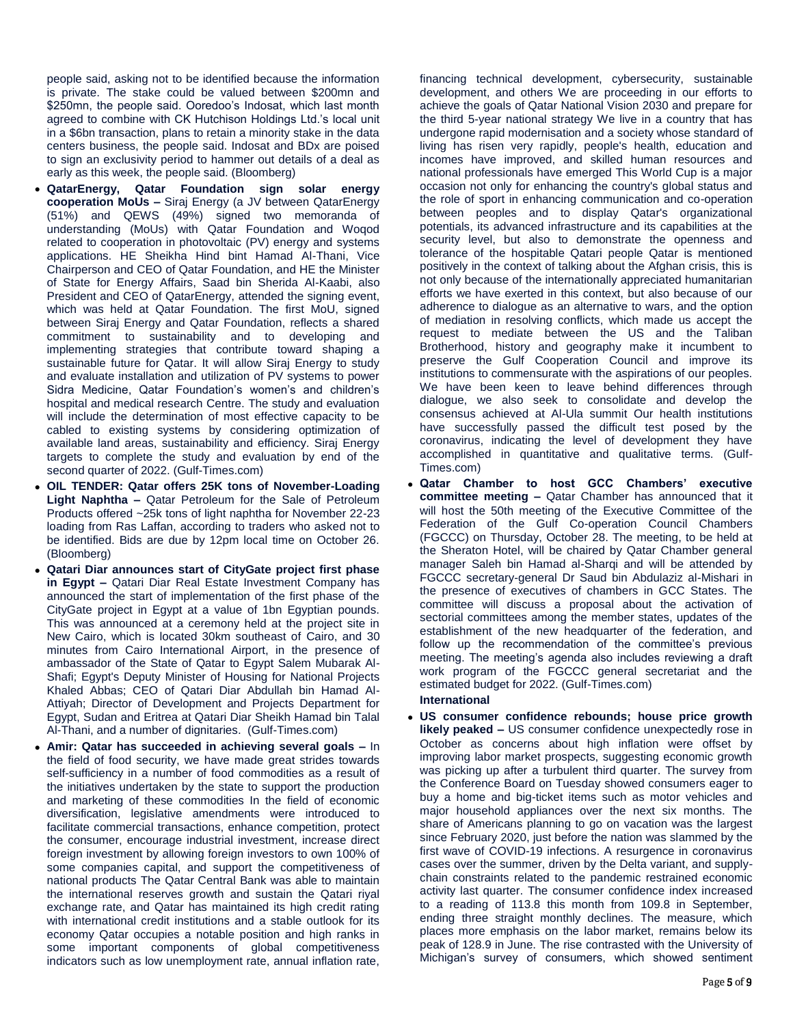people said, asking not to be identified because the information is private. The stake could be valued between \$200mn and \$250mn, the people said. Ooredoo's Indosat, which last month agreed to combine with CK Hutchison Holdings Ltd.'s local unit in a \$6bn transaction, plans to retain a minority stake in the data centers business, the people said. Indosat and BDx are poised to sign an exclusivity period to hammer out details of a deal as early as this week, the people said. (Bloomberg)

- **QatarEnergy, Qatar Foundation sign solar energy cooperation MoUs –** Siraj Energy (a JV between QatarEnergy (51%) and QEWS (49%) signed two memoranda of understanding (MoUs) with Qatar Foundation and Woqod related to cooperation in photovoltaic (PV) energy and systems applications. HE Sheikha Hind bint Hamad Al-Thani, Vice Chairperson and CEO of Qatar Foundation, and HE the Minister of State for Energy Affairs, Saad bin Sherida Al-Kaabi, also President and CEO of QatarEnergy, attended the signing event, which was held at Qatar Foundation. The first MoU, signed between Siraj Energy and Qatar Foundation, reflects a shared commitment to sustainability and to developing and implementing strategies that contribute toward shaping a sustainable future for Qatar. It will allow Siraj Energy to study and evaluate installation and utilization of PV systems to power Sidra Medicine, Qatar Foundation's women's and children's hospital and medical research Centre. The study and evaluation will include the determination of most effective capacity to be cabled to existing systems by considering optimization of available land areas, sustainability and efficiency. Siraj Energy targets to complete the study and evaluation by end of the second quarter of 2022. (Gulf-Times.com)
- **OIL TENDER: Qatar offers 25K tons of November-Loading Light Naphtha –** Qatar Petroleum for the Sale of Petroleum Products offered ~25k tons of light naphtha for November 22-23 loading from Ras Laffan, according to traders who asked not to be identified. Bids are due by 12pm local time on October 26. (Bloomberg)
- **Qatari Diar announces start of CityGate project first phase in Egypt –** Qatari Diar Real Estate Investment Company has announced the start of implementation of the first phase of the CityGate project in Egypt at a value of 1bn Egyptian pounds. This was announced at a ceremony held at the project site in New Cairo, which is located 30km southeast of Cairo, and 30 minutes from Cairo International Airport, in the presence of ambassador of the State of Qatar to Egypt Salem Mubarak Al-Shafi; Egypt's Deputy Minister of Housing for National Projects Khaled Abbas; CEO of Qatari Diar Abdullah bin Hamad Al-Attiyah; Director of Development and Projects Department for Egypt, Sudan and Eritrea at Qatari Diar Sheikh Hamad bin Talal Al-Thani, and a number of dignitaries. (Gulf-Times.com)
- **Amir: Qatar has succeeded in achieving several goals –** In the field of food security, we have made great strides towards self-sufficiency in a number of food commodities as a result of the initiatives undertaken by the state to support the production and marketing of these commodities In the field of economic diversification, legislative amendments were introduced to facilitate commercial transactions, enhance competition, protect the consumer, encourage industrial investment, increase direct foreign investment by allowing foreign investors to own 100% of some companies capital, and support the competitiveness of national products The Qatar Central Bank was able to maintain the international reserves growth and sustain the Qatari riyal exchange rate, and Qatar has maintained its high credit rating with international credit institutions and a stable outlook for its economy Qatar occupies a notable position and high ranks in some important components of global competitiveness indicators such as low unemployment rate, annual inflation rate,

financing technical development, cybersecurity, sustainable development, and others We are proceeding in our efforts to achieve the goals of Qatar National Vision 2030 and prepare for the third 5-year national strategy We live in a country that has undergone rapid modernisation and a society whose standard of living has risen very rapidly, people's health, education and incomes have improved, and skilled human resources and national professionals have emerged This World Cup is a major occasion not only for enhancing the country's global status and the role of sport in enhancing communication and co-operation between peoples and to display Qatar's organizational potentials, its advanced infrastructure and its capabilities at the security level, but also to demonstrate the openness and tolerance of the hospitable Qatari people Qatar is mentioned positively in the context of talking about the Afghan crisis, this is not only because of the internationally appreciated humanitarian efforts we have exerted in this context, but also because of our adherence to dialogue as an alternative to wars, and the option of mediation in resolving conflicts, which made us accept the request to mediate between the US and the Taliban Brotherhood, history and geography make it incumbent to preserve the Gulf Cooperation Council and improve its institutions to commensurate with the aspirations of our peoples. We have been keen to leave behind differences through dialogue, we also seek to consolidate and develop the consensus achieved at Al-Ula summit Our health institutions have successfully passed the difficult test posed by the coronavirus, indicating the level of development they have accomplished in quantitative and qualitative terms. (Gulf-Times.com)

 **Qatar Chamber to host GCC Chambers' executive committee meeting –** Qatar Chamber has announced that it will host the 50th meeting of the Executive Committee of the Federation of the Gulf Co-operation Council Chambers (FGCCC) on Thursday, October 28. The meeting, to be held at the Sheraton Hotel, will be chaired by Qatar Chamber general manager Saleh bin Hamad al-Sharqi and will be attended by FGCCC secretary-general Dr Saud bin Abdulaziz al-Mishari in the presence of executives of chambers in GCC States. The committee will discuss a proposal about the activation of sectorial committees among the member states, updates of the establishment of the new headquarter of the federation, and follow up the recommendation of the committee's previous meeting. The meeting's agenda also includes reviewing a draft work program of the FGCCC general secretariat and the estimated budget for 2022. (Gulf-Times.com)

# **International**

 **US consumer confidence rebounds; house price growth likely peaked –** US consumer confidence unexpectedly rose in October as concerns about high inflation were offset by improving labor market prospects, suggesting economic growth was picking up after a turbulent third quarter. The survey from the Conference Board on Tuesday showed consumers eager to buy a home and big-ticket items such as motor vehicles and major household appliances over the next six months. The share of Americans planning to go on vacation was the largest since February 2020, just before the nation was slammed by the first wave of COVID-19 infections. A resurgence in coronavirus cases over the summer, driven by the Delta variant, and supplychain constraints related to the pandemic restrained economic activity last quarter. The consumer confidence index increased to a reading of 113.8 this month from 109.8 in September, ending three straight monthly declines. The measure, which places more emphasis on the labor market, remains below its peak of 128.9 in June. The rise contrasted with the University of Michigan's survey of consumers, which showed sentiment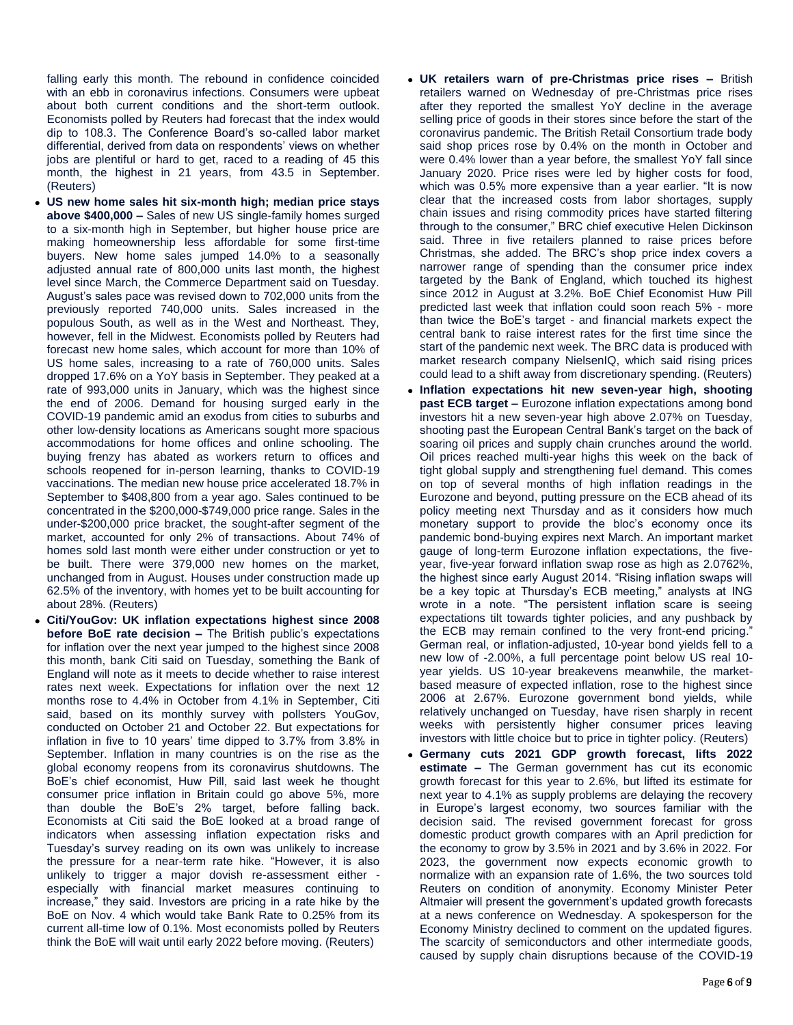falling early this month. The rebound in confidence coincided with an ebb in coronavirus infections. Consumers were upbeat about both current conditions and the short-term outlook. Economists polled by Reuters had forecast that the index would dip to 108.3. The Conference Board's so-called labor market differential, derived from data on respondents' views on whether jobs are plentiful or hard to get, raced to a reading of 45 this month, the highest in 21 years, from 43.5 in September. (Reuters)

- **US new home sales hit six-month high; median price stays above \$400,000 –** Sales of new US single-family homes surged to a six-month high in September, but higher house price are making homeownership less affordable for some first-time buyers. New home sales jumped 14.0% to a seasonally adjusted annual rate of 800,000 units last month, the highest level since March, the Commerce Department said on Tuesday. August's sales pace was revised down to 702,000 units from the previously reported 740,000 units. Sales increased in the populous South, as well as in the West and Northeast. They, however, fell in the Midwest. Economists polled by Reuters had forecast new home sales, which account for more than 10% of US home sales, increasing to a rate of 760,000 units. Sales dropped 17.6% on a YoY basis in September. They peaked at a rate of 993,000 units in January, which was the highest since the end of 2006. Demand for housing surged early in the COVID-19 pandemic amid an exodus from cities to suburbs and other low-density locations as Americans sought more spacious accommodations for home offices and online schooling. The buying frenzy has abated as workers return to offices and schools reopened for in-person learning, thanks to COVID-19 vaccinations. The median new house price accelerated 18.7% in September to \$408,800 from a year ago. Sales continued to be concentrated in the \$200,000-\$749,000 price range. Sales in the under-\$200,000 price bracket, the sought-after segment of the market, accounted for only 2% of transactions. About 74% of homes sold last month were either under construction or yet to be built. There were 379,000 new homes on the market, unchanged from in August. Houses under construction made up 62.5% of the inventory, with homes yet to be built accounting for about 28%. (Reuters)
- **Citi/YouGov: UK inflation expectations highest since 2008 before BoE rate decision –** The British public's expectations for inflation over the next year jumped to the highest since 2008 this month, bank Citi said on Tuesday, something the Bank of England will note as it meets to decide whether to raise interest rates next week. Expectations for inflation over the next 12 months rose to 4.4% in October from 4.1% in September, Citi said, based on its monthly survey with pollsters YouGov, conducted on October 21 and October 22. But expectations for inflation in five to 10 years' time dipped to 3.7% from 3.8% in September. Inflation in many countries is on the rise as the global economy reopens from its coronavirus shutdowns. The BoE's chief economist, Huw Pill, said last week he thought consumer price inflation in Britain could go above 5%, more than double the BoE's 2% target, before falling back. Economists at Citi said the BoE looked at a broad range of indicators when assessing inflation expectation risks and Tuesday's survey reading on its own was unlikely to increase the pressure for a near-term rate hike. "However, it is also unlikely to trigger a major dovish re-assessment either especially with financial market measures continuing to increase," they said. Investors are pricing in a rate hike by the BoE on Nov. 4 which would take Bank Rate to 0.25% from its current all-time low of 0.1%. Most economists polled by Reuters think the BoE will wait until early 2022 before moving. (Reuters)
- **UK retailers warn of pre-Christmas price rises –** British retailers warned on Wednesday of pre-Christmas price rises after they reported the smallest YoY decline in the average selling price of goods in their stores since before the start of the coronavirus pandemic. The British Retail Consortium trade body said shop prices rose by 0.4% on the month in October and were 0.4% lower than a year before, the smallest YoY fall since January 2020. Price rises were led by higher costs for food, which was 0.5% more expensive than a year earlier. "It is now clear that the increased costs from labor shortages, supply chain issues and rising commodity prices have started filtering through to the consumer," BRC chief executive Helen Dickinson said. Three in five retailers planned to raise prices before Christmas, she added. The BRC's shop price index covers a narrower range of spending than the consumer price index targeted by the Bank of England, which touched its highest since 2012 in August at 3.2%. BoE Chief Economist Huw Pill predicted last week that inflation could soon reach 5% - more than twice the BoE's target - and financial markets expect the central bank to raise interest rates for the first time since the start of the pandemic next week. The BRC data is produced with market research company NielsenIQ, which said rising prices could lead to a shift away from discretionary spending. (Reuters)
- **Inflation expectations hit new seven-year high, shooting past ECB target –** Eurozone inflation expectations among bond investors hit a new seven-year high above 2.07% on Tuesday, shooting past the European Central Bank's target on the back of soaring oil prices and supply chain crunches around the world. Oil prices reached multi-year highs this week on the back of tight global supply and strengthening fuel demand. This comes on top of several months of high inflation readings in the Eurozone and beyond, putting pressure on the ECB ahead of its policy meeting next Thursday and as it considers how much monetary support to provide the bloc's economy once its pandemic bond-buying expires next March. An important market gauge of long-term Eurozone inflation expectations, the fiveyear, five-year forward inflation swap rose as high as 2.0762%, the highest since early August 2014. "Rising inflation swaps will be a key topic at Thursday's ECB meeting," analysts at ING wrote in a note. "The persistent inflation scare is seeing expectations tilt towards tighter policies, and any pushback by the ECB may remain confined to the very front-end pricing." German real, or inflation-adjusted, 10-year bond yields fell to a new low of -2.00%, a full percentage point below US real 10 year yields. US 10-year breakevens meanwhile, the marketbased measure of expected inflation, rose to the highest since 2006 at 2.67%. Eurozone government bond yields, while relatively unchanged on Tuesday, have risen sharply in recent weeks with persistently higher consumer prices leaving investors with little choice but to price in tighter policy. (Reuters)
- **Germany cuts 2021 GDP growth forecast, lifts 2022 estimate –** The German government has cut its economic growth forecast for this year to 2.6%, but lifted its estimate for next year to 4.1% as supply problems are delaying the recovery in Europe's largest economy, two sources familiar with the decision said. The revised government forecast for gross domestic product growth compares with an April prediction for the economy to grow by 3.5% in 2021 and by 3.6% in 2022. For 2023, the government now expects economic growth to normalize with an expansion rate of 1.6%, the two sources told Reuters on condition of anonymity. Economy Minister Peter Altmaier will present the government's updated growth forecasts at a news conference on Wednesday. A spokesperson for the Economy Ministry declined to comment on the updated figures. The scarcity of semiconductors and other intermediate goods, caused by supply chain disruptions because of the COVID-19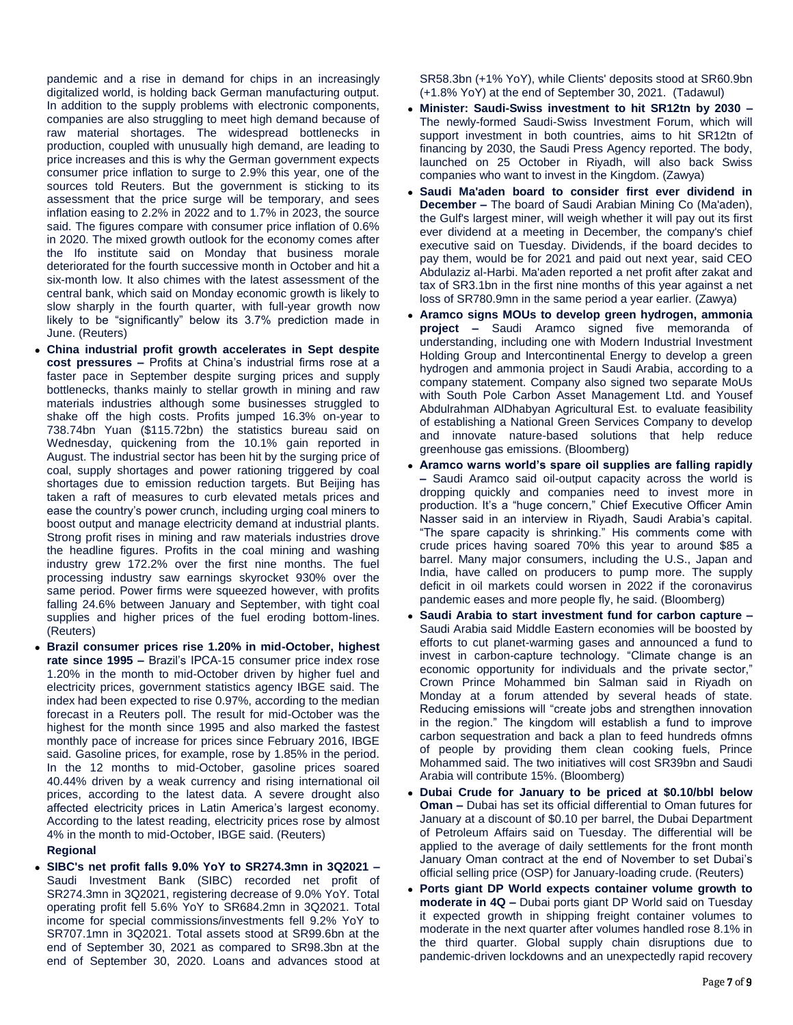pandemic and a rise in demand for chips in an increasingly digitalized world, is holding back German manufacturing output. In addition to the supply problems with electronic components, companies are also struggling to meet high demand because of raw material shortages. The widespread bottlenecks in production, coupled with unusually high demand, are leading to price increases and this is why the German government expects consumer price inflation to surge to 2.9% this year, one of the sources told Reuters. But the government is sticking to its assessment that the price surge will be temporary, and sees inflation easing to 2.2% in 2022 and to 1.7% in 2023, the source said. The figures compare with consumer price inflation of 0.6% in 2020. The mixed growth outlook for the economy comes after the Ifo institute said on Monday that business morale deteriorated for the fourth successive month in October and hit a six-month low. It also chimes with the latest assessment of the central bank, which said on Monday economic growth is likely to slow sharply in the fourth quarter, with full-year growth now likely to be "significantly" below its 3.7% prediction made in June. (Reuters)

- **China industrial profit growth accelerates in Sept despite cost pressures –** Profits at China's industrial firms rose at a faster pace in September despite surging prices and supply bottlenecks, thanks mainly to stellar growth in mining and raw materials industries although some businesses struggled to shake off the high costs. Profits jumped 16.3% on-year to 738.74bn Yuan (\$115.72bn) the statistics bureau said on Wednesday, quickening from the 10.1% gain reported in August. The industrial sector has been hit by the surging price of coal, supply shortages and power rationing triggered by coal shortages due to emission reduction targets. But Beijing has taken a raft of measures to curb elevated metals prices and ease the country's power crunch, including urging coal miners to boost output and manage electricity demand at industrial plants. Strong profit rises in mining and raw materials industries drove the headline figures. Profits in the coal mining and washing industry grew 172.2% over the first nine months. The fuel processing industry saw earnings skyrocket 930% over the same period. Power firms were squeezed however, with profits falling 24.6% between January and September, with tight coal supplies and higher prices of the fuel eroding bottom-lines. (Reuters)
- **Brazil consumer prices rise 1.20% in mid-October, highest rate since 1995 –** Brazil's IPCA-15 consumer price index rose 1.20% in the month to mid-October driven by higher fuel and electricity prices, government statistics agency IBGE said. The index had been expected to rise 0.97%, according to the median forecast in a Reuters poll. The result for mid-October was the highest for the month since 1995 and also marked the fastest monthly pace of increase for prices since February 2016, IBGE said. Gasoline prices, for example, rose by 1.85% in the period. In the 12 months to mid-October, gasoline prices soared 40.44% driven by a weak currency and rising international oil prices, according to the latest data. A severe drought also affected electricity prices in Latin America's largest economy. According to the latest reading, electricity prices rose by almost 4% in the month to mid-October, IBGE said. (Reuters)

# **Regional**

 **SIBC's net profit falls 9.0% YoY to SR274.3mn in 3Q2021 –** Saudi Investment Bank (SIBC) recorded net profit of SR274.3mn in 3Q2021, registering decrease of 9.0% YoY. Total operating profit fell 5.6% YoY to SR684.2mn in 3Q2021. Total income for special commissions/investments fell 9.2% YoY to SR707.1mn in 3Q2021. Total assets stood at SR99.6bn at the end of September 30, 2021 as compared to SR98.3bn at the end of September 30, 2020. Loans and advances stood at

SR58.3bn (+1% YoY), while Clients' deposits stood at SR60.9bn (+1.8% YoY) at the end of September 30, 2021. (Tadawul)

- **Minister: Saudi-Swiss investment to hit SR12tn by 2030 –** The newly-formed Saudi-Swiss Investment Forum, which will support investment in both countries, aims to hit SR12tn of financing by 2030, the Saudi Press Agency reported. The body, launched on 25 October in Riyadh, will also back Swiss companies who want to invest in the Kingdom. (Zawya)
- **Saudi Ma'aden board to consider first ever dividend in December –** The board of Saudi Arabian Mining Co (Ma'aden), the Gulf's largest miner, will weigh whether it will pay out its first ever dividend at a meeting in December, the company's chief executive said on Tuesday. Dividends, if the board decides to pay them, would be for 2021 and paid out next year, said CEO Abdulaziz al-Harbi. Ma'aden reported a net profit after zakat and tax of SR3.1bn in the first nine months of this year against a net loss of SR780.9mn in the same period a year earlier. (Zawya)
- **Aramco signs MOUs to develop green hydrogen, ammonia project –** Saudi Aramco signed five memoranda of understanding, including one with Modern Industrial Investment Holding Group and Intercontinental Energy to develop a green hydrogen and ammonia project in Saudi Arabia, according to a company statement. Company also signed two separate MoUs with South Pole Carbon Asset Management Ltd. and Yousef Abdulrahman AlDhabyan Agricultural Est. to evaluate feasibility of establishing a National Green Services Company to develop and innovate nature-based solutions that help reduce greenhouse gas emissions. (Bloomberg)
- **Aramco warns world's spare oil supplies are falling rapidly –** Saudi Aramco said oil-output capacity across the world is dropping quickly and companies need to invest more in production. It's a "huge concern," Chief Executive Officer Amin Nasser said in an interview in Riyadh, Saudi Arabia's capital. "The spare capacity is shrinking." His comments come with crude prices having soared 70% this year to around \$85 a barrel. Many major consumers, including the U.S., Japan and India, have called on producers to pump more. The supply deficit in oil markets could worsen in 2022 if the coronavirus pandemic eases and more people fly, he said. (Bloomberg)
- **Saudi Arabia to start investment fund for carbon capture –** Saudi Arabia said Middle Eastern economies will be boosted by efforts to cut planet-warming gases and announced a fund to invest in carbon-capture technology. "Climate change is an economic opportunity for individuals and the private sector," Crown Prince Mohammed bin Salman said in Riyadh on Monday at a forum attended by several heads of state. Reducing emissions will "create jobs and strengthen innovation in the region." The kingdom will establish a fund to improve carbon sequestration and back a plan to feed hundreds ofmns of people by providing them clean cooking fuels, Prince Mohammed said. The two initiatives will cost SR39bn and Saudi Arabia will contribute 15%. (Bloomberg)
- **Dubai Crude for January to be priced at \$0.10/bbl below Oman –** Dubai has set its official differential to Oman futures for January at a discount of \$0.10 per barrel, the Dubai Department of Petroleum Affairs said on Tuesday. The differential will be applied to the average of daily settlements for the front month January Oman contract at the end of November to set Dubai's official selling price (OSP) for January-loading crude. (Reuters)
- **Ports giant DP World expects container volume growth to moderate in 4Q –** Dubai ports giant DP World said on Tuesday it expected growth in shipping freight container volumes to moderate in the next quarter after volumes handled rose 8.1% in the third quarter. Global supply chain disruptions due to pandemic-driven lockdowns and an unexpectedly rapid recovery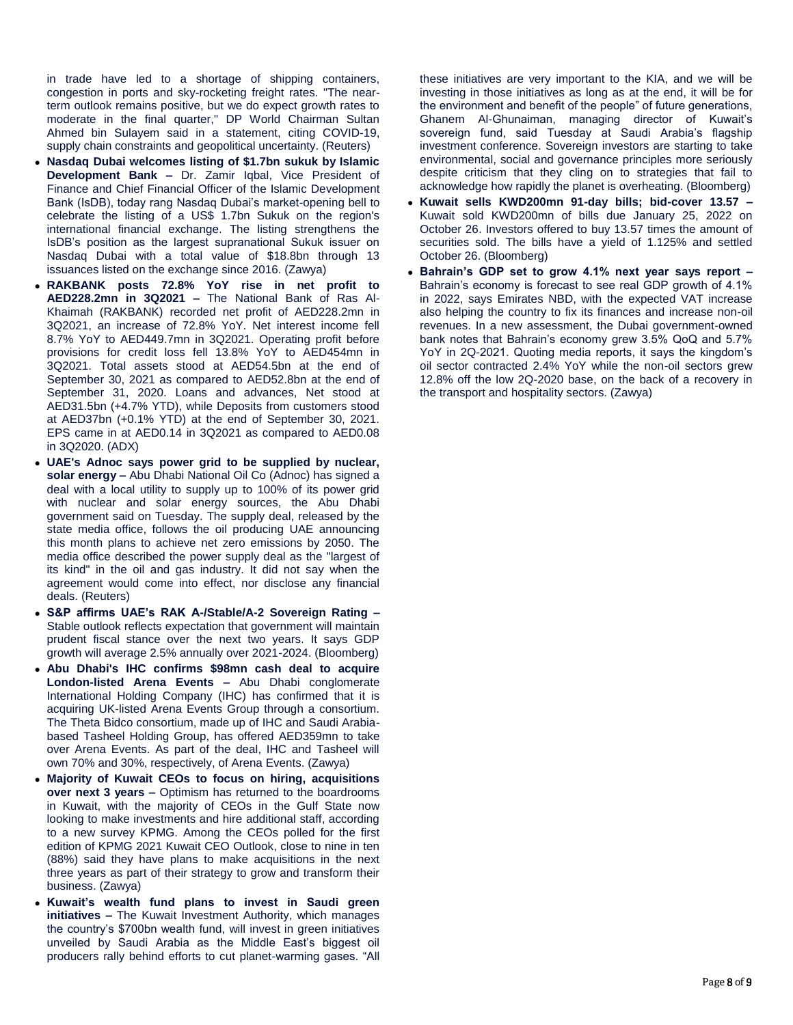in trade have led to a shortage of shipping containers, congestion in ports and sky-rocketing freight rates. "The nearterm outlook remains positive, but we do expect growth rates to moderate in the final quarter," DP World Chairman Sultan Ahmed bin Sulayem said in a statement, citing COVID-19, supply chain constraints and geopolitical uncertainty. (Reuters)

- **Nasdaq Dubai welcomes listing of \$1.7bn sukuk by Islamic Development Bank –** Dr. Zamir Iqbal, Vice President of Finance and Chief Financial Officer of the Islamic Development Bank (IsDB), today rang Nasdaq Dubai's market-opening bell to celebrate the listing of a US\$ 1.7bn Sukuk on the region's international financial exchange. The listing strengthens the IsDB's position as the largest supranational Sukuk issuer on Nasdaq Dubai with a total value of \$18.8bn through 13 issuances listed on the exchange since 2016. (Zawya)
- **RAKBANK posts 72.8% YoY rise in net profit to AED228.2mn in 3Q2021 –** The National Bank of Ras Al-Khaimah (RAKBANK) recorded net profit of AED228.2mn in 3Q2021, an increase of 72.8% YoY. Net interest income fell 8.7% YoY to AED449.7mn in 3Q2021. Operating profit before provisions for credit loss fell 13.8% YoY to AED454mn in 3Q2021. Total assets stood at AED54.5bn at the end of September 30, 2021 as compared to AED52.8bn at the end of September 31, 2020. Loans and advances, Net stood at AED31.5bn (+4.7% YTD), while Deposits from customers stood at AED37bn (+0.1% YTD) at the end of September 30, 2021. EPS came in at AED0.14 in 3Q2021 as compared to AED0.08 in 3Q2020. (ADX)
- **UAE's Adnoc says power grid to be supplied by nuclear, solar energy –** Abu Dhabi National Oil Co (Adnoc) has signed a deal with a local utility to supply up to 100% of its power grid with nuclear and solar energy sources, the Abu Dhabi government said on Tuesday. The supply deal, released by the state media office, follows the oil producing UAE announcing this month plans to achieve net zero emissions by 2050. The media office described the power supply deal as the "largest of its kind" in the oil and gas industry. It did not say when the agreement would come into effect, nor disclose any financial deals. (Reuters)
- **S&P affirms UAE's RAK A-/Stable/A-2 Sovereign Rating –** Stable outlook reflects expectation that government will maintain prudent fiscal stance over the next two years. It says GDP growth will average 2.5% annually over 2021-2024. (Bloomberg)
- **Abu Dhabi's IHC confirms \$98mn cash deal to acquire London-listed Arena Events –** Abu Dhabi conglomerate International Holding Company (IHC) has confirmed that it is acquiring UK-listed Arena Events Group through a consortium. The Theta Bidco consortium, made up of IHC and Saudi Arabiabased Tasheel Holding Group, has offered AED359mn to take over Arena Events. As part of the deal, IHC and Tasheel will own 70% and 30%, respectively, of Arena Events. (Zawya)
- **Majority of Kuwait CEOs to focus on hiring, acquisitions over next 3 years –** Optimism has returned to the boardrooms in Kuwait, with the majority of CEOs in the Gulf State now looking to make investments and hire additional staff, according to a new survey KPMG. Among the CEOs polled for the first edition of KPMG 2021 Kuwait CEO Outlook, close to nine in ten (88%) said they have plans to make acquisitions in the next three years as part of their strategy to grow and transform their business. (Zawya)
- **Kuwait's wealth fund plans to invest in Saudi green initiatives –** The Kuwait Investment Authority, which manages the country's \$700bn wealth fund, will invest in green initiatives unveiled by Saudi Arabia as the Middle East's biggest oil producers rally behind efforts to cut planet-warming gases. "All

these initiatives are very important to the KIA, and we will be investing in those initiatives as long as at the end, it will be for the environment and benefit of the people" of future generations, Ghanem Al-Ghunaiman, managing director of Kuwait's sovereign fund, said Tuesday at Saudi Arabia's flagship investment conference. Sovereign investors are starting to take environmental, social and governance principles more seriously despite criticism that they cling on to strategies that fail to acknowledge how rapidly the planet is overheating. (Bloomberg)

- **Kuwait sells KWD200mn 91-day bills; bid-cover 13.57 –** Kuwait sold KWD200mn of bills due January 25, 2022 on October 26. Investors offered to buy 13.57 times the amount of securities sold. The bills have a yield of 1.125% and settled October 26. (Bloomberg)
- **Bahrain's GDP set to grow 4.1% next year says report –** Bahrain's economy is forecast to see real GDP growth of 4.1% in 2022, says Emirates NBD, with the expected VAT increase also helping the country to fix its finances and increase non-oil revenues. In a new assessment, the Dubai government-owned bank notes that Bahrain's economy grew 3.5% QoQ and 5.7% YoY in 2Q-2021. Quoting media reports, it says the kingdom's oil sector contracted 2.4% YoY while the non-oil sectors grew 12.8% off the low 2Q-2020 base, on the back of a recovery in the transport and hospitality sectors. (Zawya)